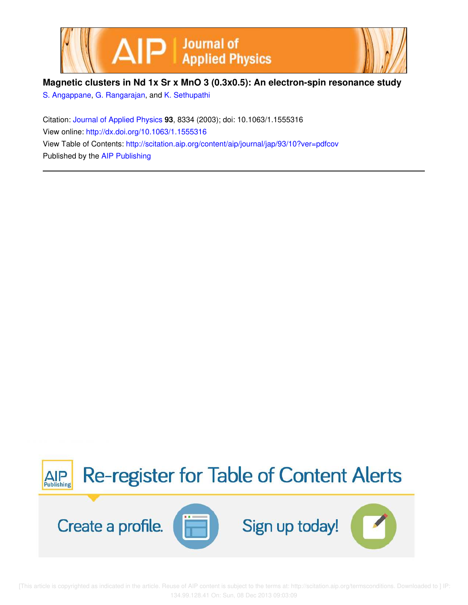



# **Magnetic clusters in Nd 1x Sr x MnO 3 (0.3x0.5): An electron-spin resonance study**

S. Angappane, G. Rangarajan, and K. Sethupathi

Citation: Journal of Applied Physics **93**, 8334 (2003); doi: 10.1063/1.1555316 View online: http://dx.doi.org/10.1063/1.1555316 View Table of Contents: http://scitation.aip.org/content/aip/journal/jap/93/10?ver=pdfcov Published by the AIP Publishing



 [This article is copyrighted as indicated in the article. Reuse of AIP content is subject to the terms at: http://scitation.aip.org/termsconditions. Downloaded to ] IP: 134.99.128.41 On: Sun, 08 Dec 2013 09:03:09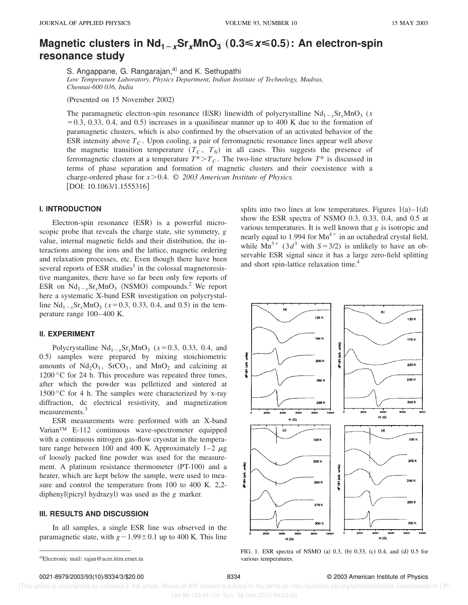# **Magnetic clusters in Nd**<sub>1−x</sub>Sr<sub>x</sub>MnO<sub>3</sub> (0.3≤x≤0.5): An electron-spin **resonance study**

S. Angappane, G. Rangarajan,<sup>a)</sup> and K. Sethupathi

*Low Temperature Laboratory, Physics Department, Indian Institute of Technology, Madras, Chennai-600 036, India*

(Presented on 15 November 2002)

The paramagnetic electron-spin resonance (ESR) linewidth of polycrystalline  $Nd_{1-x}Sr_xMnO_3$  (*x*  $=0.3, 0.33, 0.4,$  and 0.5) increases in a quasilinear manner up to 400 K due to the formation of paramagnetic clusters, which is also confirmed by the observation of an activated behavior of the ESR intensity above *T<sup>C</sup>* . Upon cooling, a pair of ferromagnetic resonance lines appear well above the magnetic transition temperature  $(T_C, T_N)$  in all cases. This suggests the presence of ferromagnetic clusters at a temperature  $T^* > T_C$ . The two-line structure below  $T^*$  is discussed in terms of phase separation and formation of magnetic clusters and their coexistence with a charge-ordered phase for  $x > 0.4$ .  $\odot$  2003 American Institute of Physics. [DOI: 10.1063/1.1555316]

### **I. INTRODUCTION**

Electron-spin resonance  $(ESR)$  is a powerful microscopic probe that reveals the charge state, site symmetry, *g* value, internal magnetic fields and their distribution, the interactions among the ions and the lattice, magnetic ordering and relaxation processes, etc. Even though there have been several reports of ESR studies<sup>1</sup> in the colossal magnetoresistive manganites, there have so far been only few reports of ESR on  $Nd_{1-x}Sr_xMnO_3$  (NSMO) compounds.<sup>2</sup> We report here a systematic X-band ESR investigation on polycrystalline  $Nd_{1-x}Sr_xMnO_3$  ( $x=0.3, 0.33, 0.4$ , and 0.5) in the temperature range 100–400 K.

## **II. EXPERIMENT**

Polycrystalline  $Nd_{1-x}Sr_xMnO_3$  ( $x=0.3, 0.33, 0.4,$  and 0.5) samples were prepared by mixing stoichiometric amounts of  $Nd_2O_3$ ,  $SrCO_3$ , and  $MnO_2$  and calcining at 1200 °C for 24 h. This procedure was repeated three times, after which the powder was pelletized and sintered at 1500 °C for 4 h. The samples were characterized by x-ray diffraction, dc electrical resistivity, and magnetization measurements.<sup>3</sup>

ESR measurements were performed with an X-band Varian™ E-112 continuous wave-spectrometer equipped with a continuous nitrogen gas-flow cryostat in the temperature range between 100 and 400 K. Approximately  $1-2 \mu g$ of loosely packed fine powder was used for the measurement. A platinum resistance thermometer  $(PT-100)$  and a heater, which are kept below the sample, were used to measure and control the temperature from 100 to 400 K. 2,2 diphenyl(picryl hydrazyl) was used as the *g* marker.

#### **III. RESULTS AND DISCUSSION**

In all samples, a single ESR line was observed in the paramagnetic state, with  $g \sim 1.99 \pm 0.1$  up to 400 K. This line splits into two lines at low temperatures. Figures  $1(a) - 1(d)$ show the ESR spectra of NSMO 0.3, 0.33, 0.4, and 0.5 at various temperatures. It is well known that *g* is isotropic and nearly equal to 1.994 for  $Mn^{4+}$  in an octahedral crystal field, while  $Mn^{3+}$  (3*d*<sup>3</sup> with *S*=3/2) is unlikely to have an observable ESR signal since it has a large zero-field splitting and short spin-lattice relaxation time.<sup>4</sup>



FIG. 1. ESR spectra of NSMO (a)  $0.3$ , (b)  $0.33$ , (c)  $0.4$ , and (d)  $0.5$  for various temperatures.

0021-8979/2003/93(10)/8334/3/\$20.00 8334 8334 © 2003 American Institute of Physics

 [This article is copyrighted as indicated in the article. Reuse of AIP content is subject to the terms at: http://scitation.aip.org/termsconditions. Downloaded to ] IP: 134.99.128.41 On: Sun, 08 Dec 2013 09:03:09

a)Electronic mail: rajan@acer.iitm.ernet.in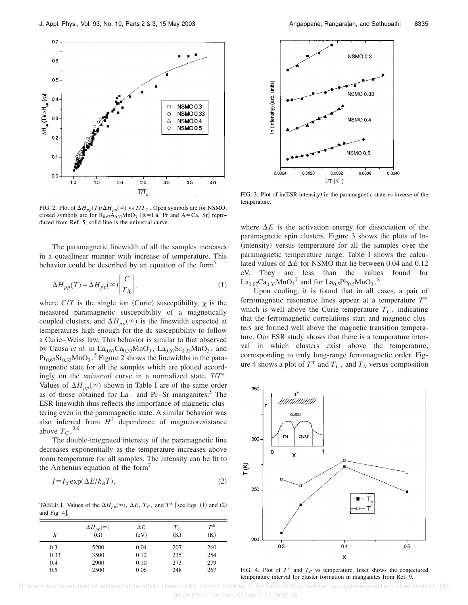

FIG. 2. Plot of  $\Delta H_{pp}(T)/\Delta H_{pp}(\infty)$  vs  $T/T_C$ . Open symbols are for NSMO; closed symbols are for  $R_{0.67}A_{0.33}MnO_3$  (R=La, Pr and A=Ca, Sr) reproduced from Ref. 5; solid line is the universal curve.

The paramagnetic linewidth of all the samples increases in a quasilinear manner with increase of temperature. This behavior could be described by an equation of the form<sup>5</sup>

$$
\Delta H_{pp}(T) = \Delta H_{pp}(\infty) \left[ \frac{C}{T \chi} \right],\tag{1}
$$

where  $C/T$  is the single ion (Curie) susceptibility,  $\chi$  is the measured paramagnetic susceptibility of a magnetically coupled clusters, and  $\Delta H_{pp}(\infty)$  is the linewidth expected at temperatures high enough for the dc susceptibility to follow a Curie–Weiss law. This behavior is similar to that observed by Causa *et al.* in  $La_{0.67}Ca_{0.33}MnO_3$ ,  $La_{0.67}Sr_{0.33}MnO_3$ , and  $Pr_{0.67}$ Sr<sub>0.33</sub>MnO<sub>3</sub>.<sup>5</sup> Figure 2 shows the linewidths in the paramagnetic state for all the samples which are plotted accordingly on the *universal* curve in a normalized state, *T*/*T*\*. Values of  $\Delta H_{pp}(\infty)$  shown in Table I are of the same order as of those obtained for La– and Pr–Sr manganites.<sup>5</sup> The ESR linewidth thus reflects the importance of magnetic clustering even in the paramagnetic state. A similar behavior was also inferred from  $H^2$  dependence of magnetoresistance above  $T_C$ .<sup>3,6</sup>

The double-integrated intensity of the paramagnetic line decreases exponentially as the temperature increases above room temperature for all samples. The intensity can be fit to the Arrhenius equation of the form<sup> $\prime$ </sup>

$$
I = I_0 \exp(\Delta E / k_B T),\tag{2}
$$

TABLE I. Values of the  $\Delta H_{pp}(\infty)$ ,  $\Delta E$ ,  $T_c$ , and  $T^*$  [see Eqs. (1) and (2) and Fig.  $4$ ].

| X    | $\Delta H_{pp}(\infty)$<br>(G) | $\Delta E$<br>(eV) | $T_C$<br>(K) | $T^\ast$<br>(K) |
|------|--------------------------------|--------------------|--------------|-----------------|
| 0.3  | 5200                           | 0.04               | 207          | 260             |
| 0.33 | 3500                           | 0.12               | 235          | 254             |
| 0.4  | 2900                           | 0.10               | 273          | 279             |
| 0.5  | 2500                           | 0.06               | 248          | 267             |



FIG. 3. Plot of ln(ESR intensity) in the paramagnetic state vs inverse of the temperature.

where  $\Delta E$  is the activation energy for dissociation of the paramagnetic spin clusters. Figure 3 shows the plots of ln- (intensity) versus temperature for all the samples over the paramagnetic temperature range. Table I shows the calculated values of  $\Delta E$  for NSMO that lie between 0.04 and 0.12 eV. They are less than the values found for  $\text{La}_{0.67}\text{Ca}_{0.33}\text{MnO}_3^{\phantom{1}}$  and for  $\text{La}_{0.5}\text{Pb}_{0.5}\text{MnO}_3^{\phantom{1}}$ .<sup>8</sup>

Upon cooling, it is found that in all cases, a pair of ferromagnetic resonance lines appear at a temperature *T*\* which is well above the Curie temperature  $T_c$ , indicating that the ferromagnetic correlations start and magnetic clusters are formed well above the magnetic transition temperature. Our ESR study shows that there is a temperature interval in which clusters exist above the temperature, corresponding to truly long-range ferromagnetic order. Figure 4 shows a plot of  $T^*$  and  $T_C$ , and  $T_N$  versus composition



FIG. 4. Plot of  $T^*$  and  $T_C$  vs temperature. Inset shows the conjectured temperature interval for cluster formation in manganites from Ref. 9.

 [This article is copyrighted as indicated in the article. Reuse of AIP content is subject to the terms at: http://scitation.aip.org/termsconditions. Downloaded to ] IP: 134.99.128.41 On: Sun, 08 Dec 2013 09:03:09